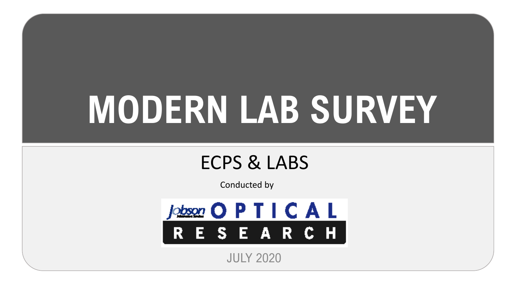# **MODERN LAB SURVEY**

## ECPS & LABS

Conducted by



JULY 2020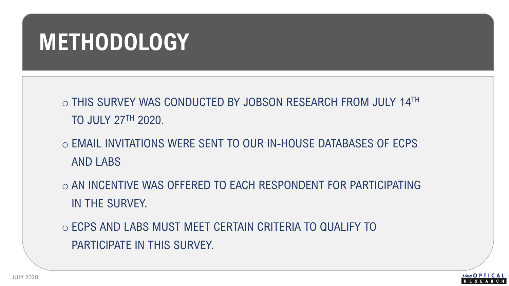## **METHODOLOGY**

o THIS SURVEY WAS CONDUCTED BY JOBSON RESEARCH FROM JULY 14TH TO JULY 27TH 2020.

- o EMAIL INVITATIONS WERE SENT TO OUR IN-HOUSE DATABASES OF ECPS AND LABS
- o AN INCENTIVE WAS OFFERED TO EACH RESPONDENT FOR PARTICIPATING IN THE SURVEY.
- o ECPS AND LABS MUST MEET CERTAIN CRITERIA TO QUALIFY TO PARTICIPATE IN THIS SURVEY.

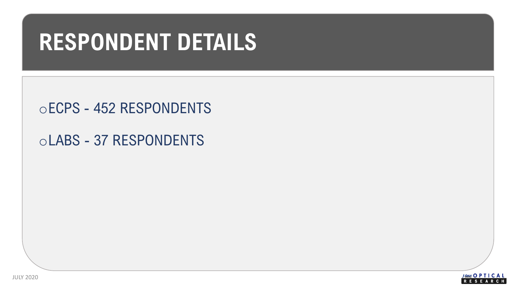## **RESPONDENT DETAILS**

oECPS - 452 RESPONDENTS

oLABS - 37 RESPONDENTS

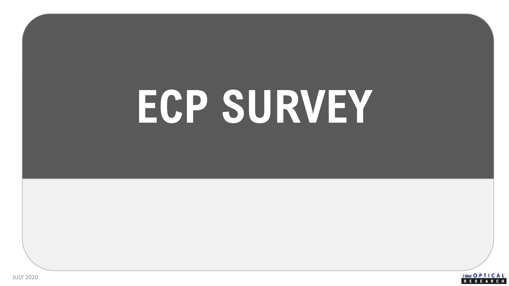# **ECP SURVEY**

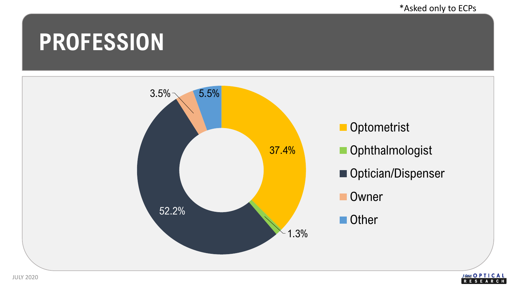**RESEARCH** 

## **PROFESSION**

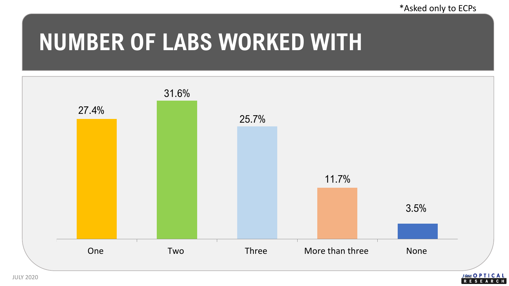**RESEARCH** 

## **NUMBER OF LABS WORKED WITH**

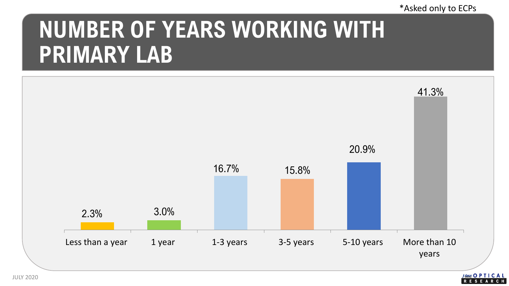#### \*Asked only to ECPs

ESEARCH

# **NUMBER OF YEARS WORKING WITH PRIMARY LAB**

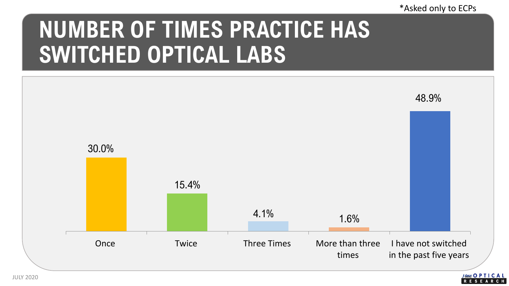#### \*Asked only to ECPs

# **NUMBER OF TIMES PRACTICE HAS SWITCHED OPTICAL LABS**



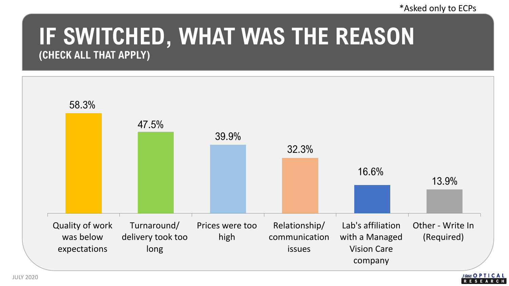### **IF SWITCHED, WHAT WAS THE REASON (CHECK ALL THAT APPLY)**

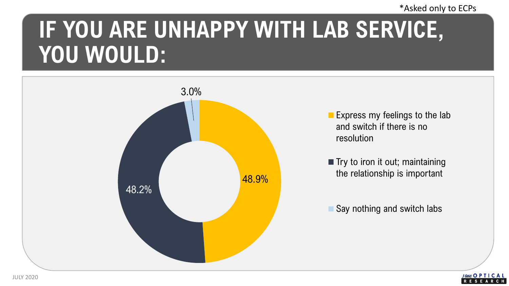#### \*Asked only to ECPs

# **IF YOU ARE UNHAPPY WITH LAB SERVICE, YOU WOULD:**



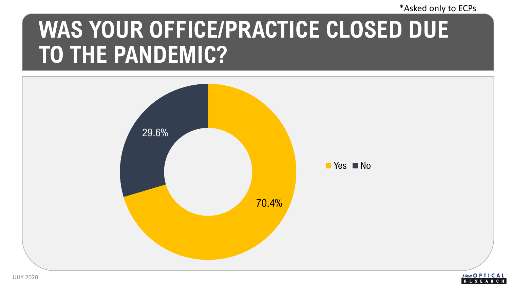\*Asked only to ECPs

# **WAS YOUR OFFICE/PRACTICE CLOSED DUE TO THE PANDEMIC?**

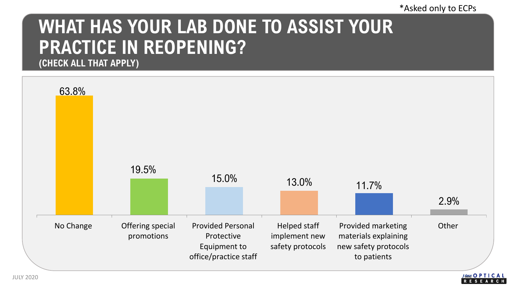## **WHAT HAS YOUR LAB DONE TO ASSIST YOUR PRACTICE IN REOPENING?**

**(CHECK ALL THAT APPLY)**

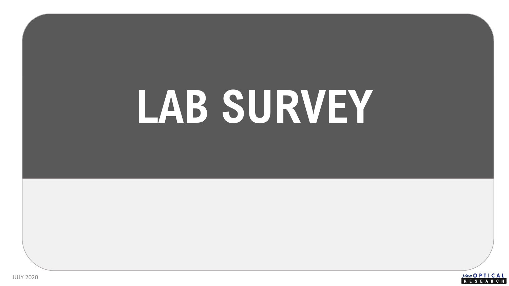# **LAB SURVEY**

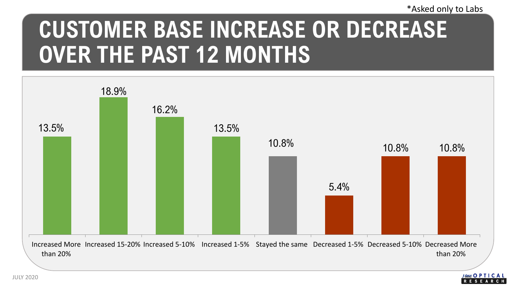# **CUSTOMER BASE INCREASE OR DECREASE OVER THE PAST 12 MONTHS**



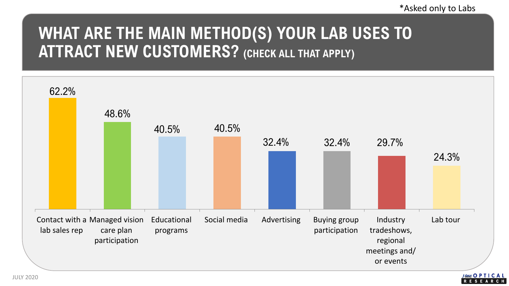## **WHAT ARE THE MAIN METHOD(S) YOUR LAB USES TO ATTRACT NEW CUSTOMERS? (CHECK ALL THAT APPLY)**

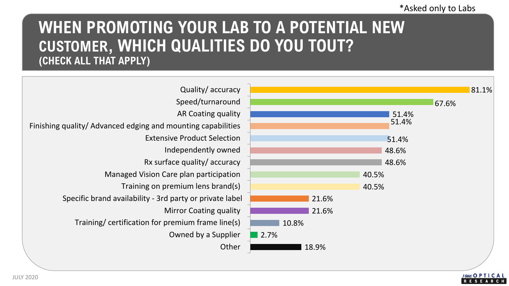#### **WHEN PROMOTING YOUR LAB TO A POTENTIAL NEW CUSTOMER, WHICH QUALITIES DO YOU TOUT? (CHECK ALL THAT APPLY)**



JULY 2020

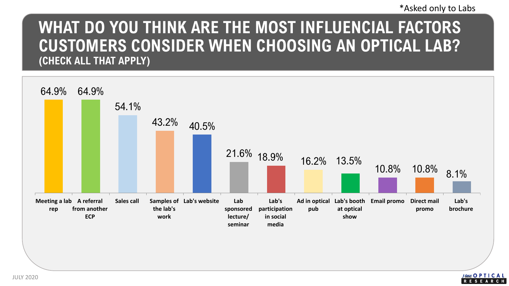#### **WHAT DO YOU THINK ARE THE MOST INFLUENCIAL FACTORS CUSTOMERS CONSIDER WHEN CHOOSING AN OPTICAL LAB? (CHECK ALL THAT APPLY)**



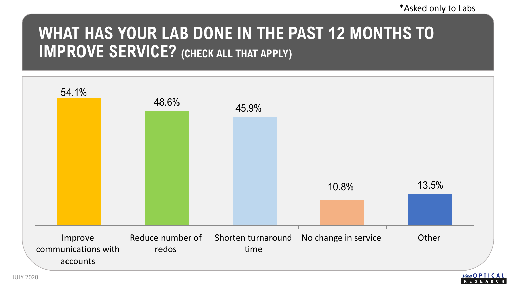## **WHAT HAS YOUR LAB DONE IN THE PAST 12 MONTHS TO IMPROVE SERVICE? (CHECK ALL THAT APPLY)**

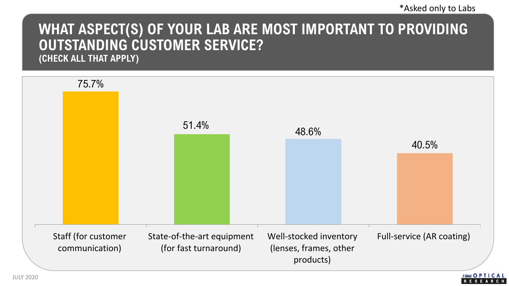#### **WHAT ASPECT(S) OF YOUR LAB ARE MOST IMPORTANT TO PROVIDING OUTSTANDING CUSTOMER SERVICE?**

**(CHECK ALL THAT APPLY)**

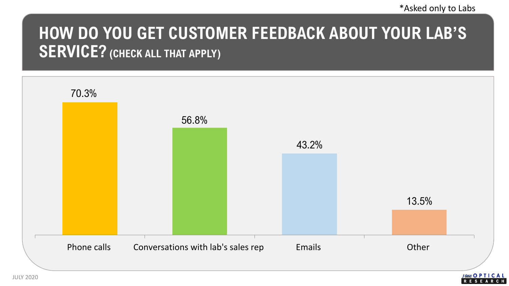## **HOW DO YOU GET CUSTOMER FEEDBACK ABOUT YOUR LAB'S SERVICE? (CHECK ALL THAT APPLY)**

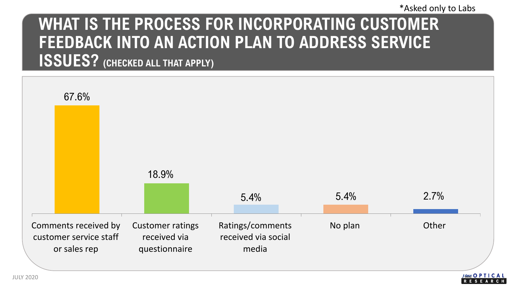## **WHAT IS THE PROCESS FOR INCORPORATING CUSTOMER FEEDBACK INTO AN ACTION PLAN TO ADDRESS SERVICE ISSUES? (CHECKED ALL THAT APPLY)**

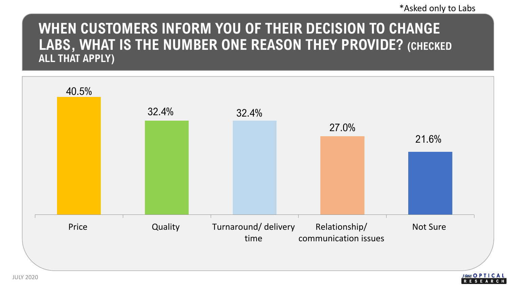#### **WHEN CUSTOMERS INFORM YOU OF THEIR DECISION TO CHANGE LABS, WHAT IS THE NUMBER ONE REASON THEY PROVIDE? (CHECKED ALL THAT APPLY)**

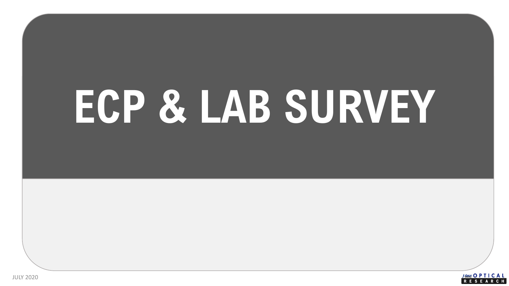# **ECP & LAB SURVEY**

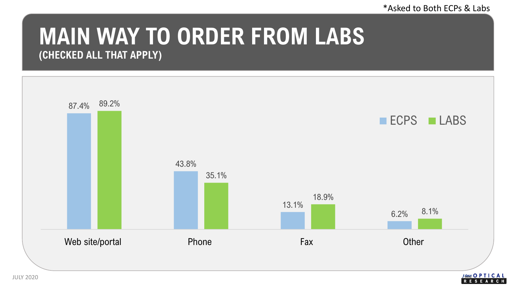\*Asked to Both ECPs & Labs

### **MAIN WAY TO ORDER FROM LABS (CHECKED ALL THAT APPLY)**



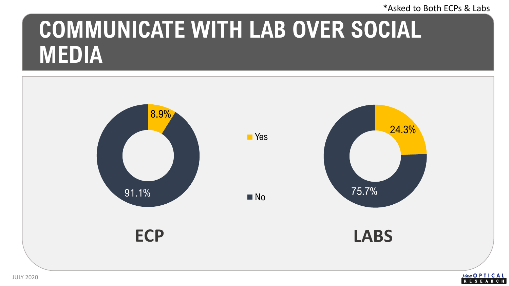#### \*Asked to Both ECPs & Labs

# **COMMUNICATE WITH LAB OVER SOCIAL MEDIA**



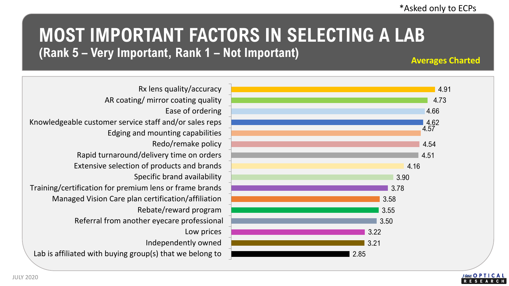#### **MOST IMPORTANT FACTORS IN SELECTING A LAB (Rank 5 – Very Important, Rank 1 – Not Important)**

**Averages Charted**



Lab is affiliated with buying group(s) that we belong to Independently owned Low prices Referral from another eyecare professional Rebate/reward program Managed Vision Care plan certification/affiliation Training/certification for premium lens or frame brands Specific brand availability Extensive selection of products and brands Rapid turnaround/delivery time on orders Redo/remake policy Edging and mounting capabilities Knowledgeable customer service staff and/or sales reps Ease of ordering AR coating/ mirror coating quality Rx lens quality/accuracy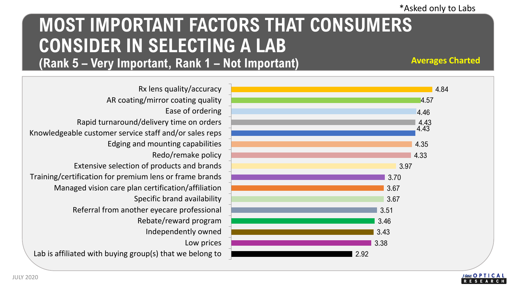### **MOST IMPORTANT FACTORS THAT CONSUMERS CONSIDER IN SELECTING A LAB (Rank 5 – Very Important, Rank 1 – Not Important)**

**Averages Charted**



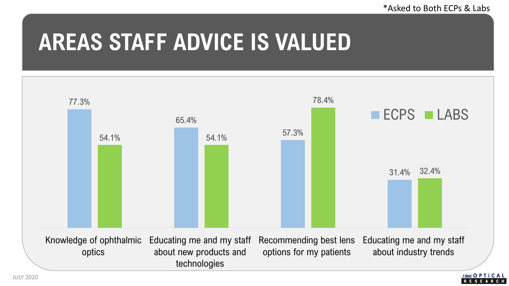## **AREAS STAFF ADVICE IS VALUED**

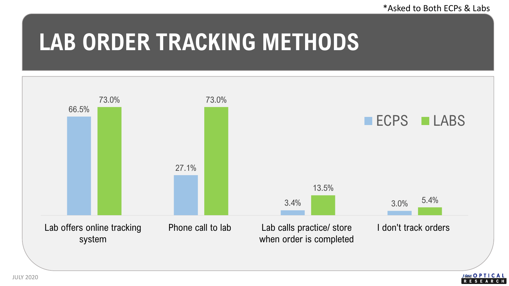## **LAB ORDER TRACKING METHODS**